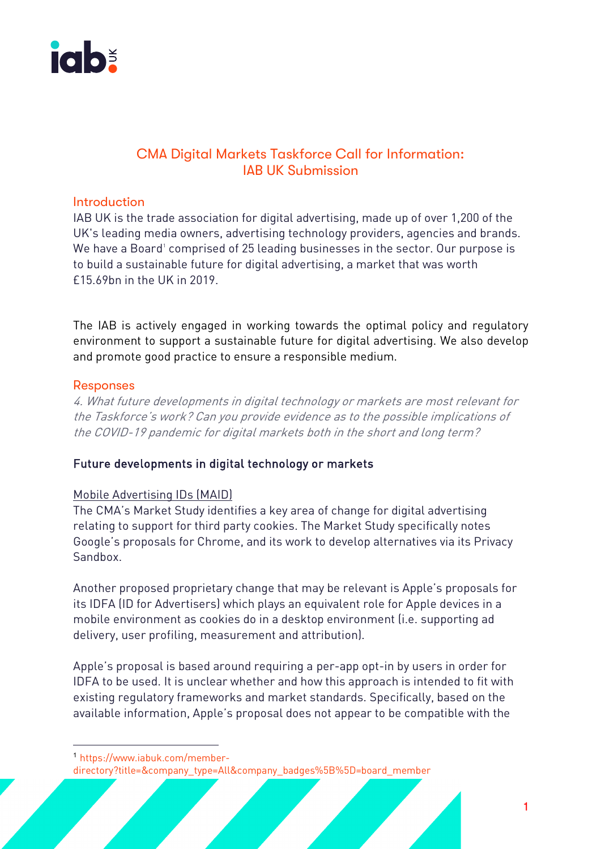

# CMA Digital Markets Taskforce Call for Information: IAB UK Submission

### **Introduction**

IAB UK is the trade association for digital advertising, made up of over 1,200 of the UK's leading media owners, advertising technology providers, agencies and brands. We have a Board' comprised of 25 leading businesses in the sector. Our purpose is to build a sustainable future for digital advertising, a market that was worth £15.69bn in the UK in 2019.

The IAB is actively engaged in working towards the optimal policy and regulatory environment to support a sustainable future for digital advertising. We also develop and promote good practice to ensure a responsible medium.

### Responses

4. What future developments in digital technology or markets are most relevant for the Taskforce's work? Can you provide evidence as to the possible implications of the COVID-19 pandemic for digital markets both in the short and long term?

# Future developments in digital technology or markets

# Mobile Advertising IDs (MAID)

The CMA's Market Study identifies a key area of change for digital advertising relating to support for third party cookies. The Market Study specifically notes Google's proposals for Chrome, and its work to develop alternatives via its Privacy Sandbox.

Another proposed proprietary change that may be relevant is Apple's proposals for its IDFA (ID for Advertisers) which plays an equivalent role for Apple devices in a mobile environment as cookies do in a desktop environment (i.e. supporting ad delivery, user profiling, measurement and attribution).

Apple's proposal is based around requiring a per-app opt-in by users in order for IDFA to be used. It is unclear whether and how this approach is intended to fit with existing regulatory frameworks and market standards. Specifically, based on the available information, Apple's proposal does not appear to be compatible with the

 $\overline{1}$ 

<sup>1</sup> https://www.iabuk.com/member-

directory?title=&company\_type=All&company\_badges%5B%5D=board\_member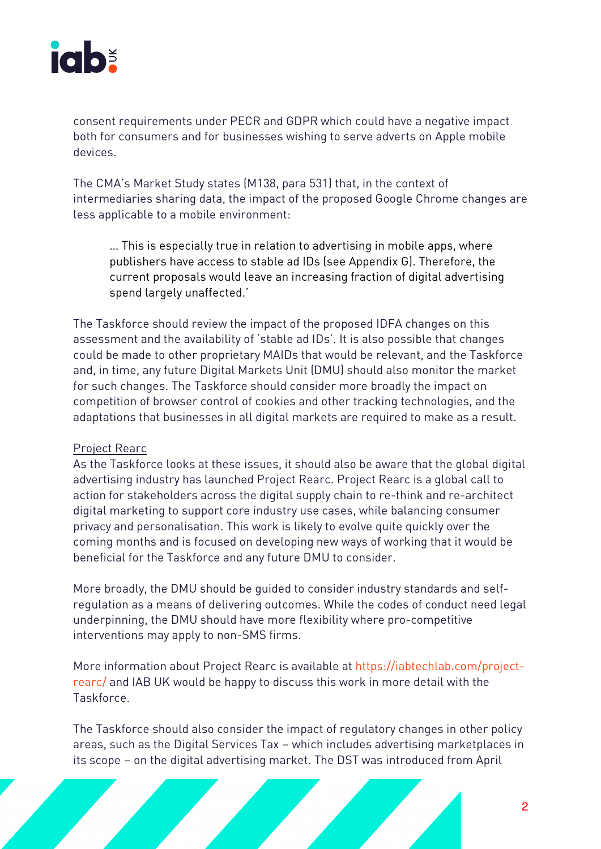

consent requirements under PECR and GDPR which could have a negative impact both for consumers and for businesses wishing to serve adverts on Apple mobile devices.

The CMA's Market Study states (M138, para 531) that, in the context of intermediaries sharing data, the impact of the proposed Google Chrome changes are less applicable to a mobile environment:

… This is especially true in relation to advertising in mobile apps, where publishers have access to stable ad IDs (see Appendix G). Therefore, the current proposals would leave an increasing fraction of digital advertising spend largely unaffected.'

The Taskforce should review the impact of the proposed IDFA changes on this assessment and the availability of 'stable ad IDs'. It is also possible that changes could be made to other proprietary MAIDs that would be relevant, and the Taskforce and, in time, any future Digital Markets Unit (DMU) should also monitor the market for such changes. The Taskforce should consider more broadly the impact on competition of browser control of cookies and other tracking technologies, and the adaptations that businesses in all digital markets are required to make as a result.

### Project Rearc

As the Taskforce looks at these issues, it should also be aware that the global digital advertising industry has launched Project Rearc. Project Rearc is a global call to action for stakeholders across the digital supply chain to re-think and re-architect digital marketing to support core industry use cases, while balancing consumer privacy and personalisation. This work is likely to evolve quite quickly over the coming months and is focused on developing new ways of working that it would be beneficial for the Taskforce and any future DMU to consider.

More broadly, the DMU should be guided to consider industry standards and selfregulation as a means of delivering outcomes. While the codes of conduct need legal underpinning, the DMU should have more flexibility where pro-competitive interventions may apply to non-SMS firms.

More information about Project Rearc is available at https://iabtechlab.com/projectrearc/ and IAB UK would be happy to discuss this work in more detail with the Taskforce.

The Taskforce should also consider the impact of regulatory changes in other policy areas, such as the Digital Services Tax – which includes advertising marketplaces in its scope – on the digital advertising market. The DST was introduced from April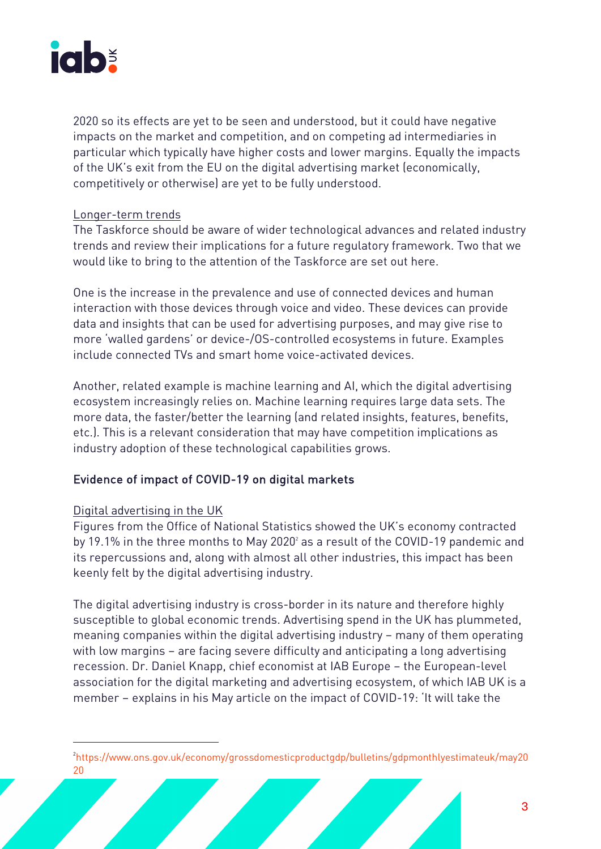

2020 so its effects are yet to be seen and understood, but it could have negative impacts on the market and competition, and on competing ad intermediaries in particular which typically have higher costs and lower margins. Equally the impacts of the UK's exit from the EU on the digital advertising market (economically, competitively or otherwise) are yet to be fully understood.

### Longer-term trends

The Taskforce should be aware of wider technological advances and related industry trends and review their implications for a future regulatory framework. Two that we would like to bring to the attention of the Taskforce are set out here.

One is the increase in the prevalence and use of connected devices and human interaction with those devices through voice and video. These devices can provide data and insights that can be used for advertising purposes, and may give rise to more 'walled gardens' or device-/OS-controlled ecosystems in future. Examples include connected TVs and smart home voice-activated devices.

Another, related example is machine learning and AI, which the digital advertising ecosystem increasingly relies on. Machine learning requires large data sets. The more data, the faster/better the learning (and related insights, features, benefits, etc.). This is a relevant consideration that may have competition implications as industry adoption of these technological capabilities grows.

# Evidence of impact of COVID-19 on digital markets

# Digital advertising in the UK

Figures from the Office of National Statistics showed the UK's economy contracted by 19.1% in the three months to May 2020 $^{\circ}$  as a result of the COVID-19 pandemic and its repercussions and, along with almost all other industries, this impact has been keenly felt by the digital advertising industry.

The digital advertising industry is cross-border in its nature and therefore highly susceptible to global economic trends. Advertising spend in the UK has plummeted, meaning companies within the digital advertising industry – many of them operating with low margins – are facing severe difficulty and anticipating a long advertising recession. Dr. Daniel Knapp, chief economist at IAB Europe – the European-level association for the digital marketing and advertising ecosystem, of which IAB UK is a member – explains in his May article on the impact of COVID-19: 'It will take the

 $\frac{1}{2}$ https://www.ons.gov.uk/economy/grossdomesticproductgdp/bulletins/gdpmonthlyestimateuk/may20 20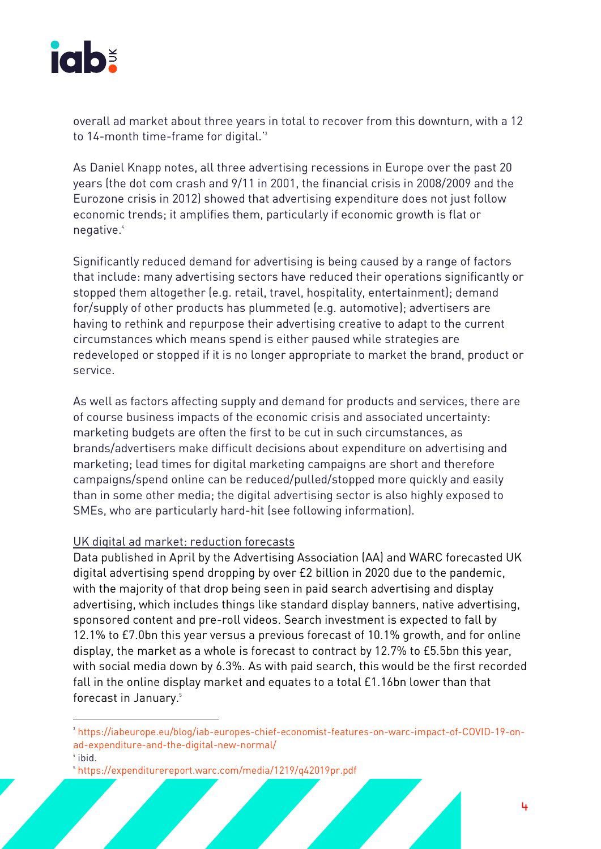

overall ad market about three years in total to recover from this downturn, with a 12 to 14-month time-frame for digital.'3

As Daniel Knapp notes, all three advertising recessions in Europe over the past 20 years (the dot com crash and 9/11 in 2001, the financial crisis in 2008/2009 and the Eurozone crisis in 2012) showed that advertising expenditure does not just follow economic trends; it amplifies them, particularly if economic growth is flat or negative.4

Significantly reduced demand for advertising is being caused by a range of factors that include: many advertising sectors have reduced their operations significantly or stopped them altogether (e.g. retail, travel, hospitality, entertainment); demand for/supply of other products has plummeted (e.g. automotive); advertisers are having to rethink and repurpose their advertising creative to adapt to the current circumstances which means spend is either paused while strategies are redeveloped or stopped if it is no longer appropriate to market the brand, product or service.

As well as factors affecting supply and demand for products and services, there are of course business impacts of the economic crisis and associated uncertainty: marketing budgets are often the first to be cut in such circumstances, as brands/advertisers make difficult decisions about expenditure on advertising and marketing; lead times for digital marketing campaigns are short and therefore campaigns/spend online can be reduced/pulled/stopped more quickly and easily than in some other media; the digital advertising sector is also highly exposed to SMEs, who are particularly hard-hit (see following information).

### UK digital ad market: reduction forecasts

Data published in April by the Advertising Association (AA) and WARC forecasted UK digital advertising spend dropping by over £2 billion in 2020 due to the pandemic, with the majority of that drop being seen in paid search advertising and display advertising, which includes things like standard display banners, native advertising, sponsored content and pre-roll videos. Search investment is expected to fall by 12.1% to £7.0bn this year versus a previous forecast of 10.1% growth, and for online display, the market as a whole is forecast to contract by 12.7% to £5.5bn this year, with social media down by 6.3%. As with paid search, this would be the first recorded fall in the online display market and equates to a total £1.16bn lower than that forecast in January. 5

<sup>-&</sup>lt;br>3 <sup>3</sup>https://iabeurope.eu/blog/iab-europes-chief-economist-features-on-warc-impact-of-COVID-19-onad-expenditure-and-the-digital-new-normal/

 $4$  ibid.

<sup>5</sup> https://expenditurereport.warc.com/media/1219/q42019pr.pdf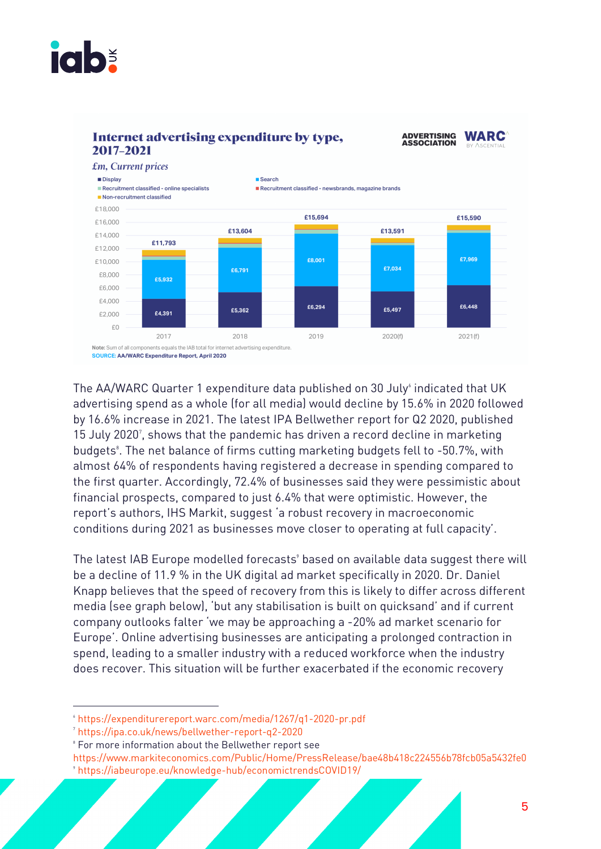



The AA/WARC Quarter 1 expenditure data published on 30 July $^\circ$  indicated that UK advertising spend as a whole (for all media) would decline by 15.6% in 2020 followed by 16.6% increase in 2021. The latest IPA Bellwether report for Q2 2020, published 15 July 2020<sup>7</sup>, shows that the pandemic has driven a record decline in marketing budgets<sup>8</sup>. The net balance of firms cutting marketing budgets fell to -50.7%, with almost 64% of respondents having registered a decrease in spending compared to the first quarter. Accordingly, 72.4% of businesses said they were pessimistic about financial prospects, compared to just 6.4% that were optimistic. However, the report's authors, IHS Markit, suggest 'a robust recovery in macroeconomic conditions during 2021 as businesses move closer to operating at full capacity'.

The latest IAB Europe modelled forecasts<sup>9</sup> based on available data suggest there will be a decline of 11.9 % in the UK digital ad market specifically in 2020. Dr. Daniel Knapp believes that the speed of recovery from this is likely to differ across different media (see graph below), 'but any stabilisation is built on quicksand' and if current company outlooks falter 'we may be approaching a -20% ad market scenario for Europe'. Online advertising businesses are anticipating a prolonged contraction in spend, leading to a smaller industry with a reduced workforce when the industry does recover. This situation will be further exacerbated if the economic recovery

 $\frac{1}{6}$ https://expenditurereport.warc.com/media/1267/q1-2020-pr.pdf

<sup>7</sup> https://ipa.co.uk/news/bellwether-report-q2-2020

<sup>8</sup> For more information about the Bellwether report see

https://www.markiteconomics.com/Public/Home/PressRelease/bae48b418c224556b78fcb05a5432fe0 9 https://iabeurope.eu/knowledge-hub/economictrendsCOVID19/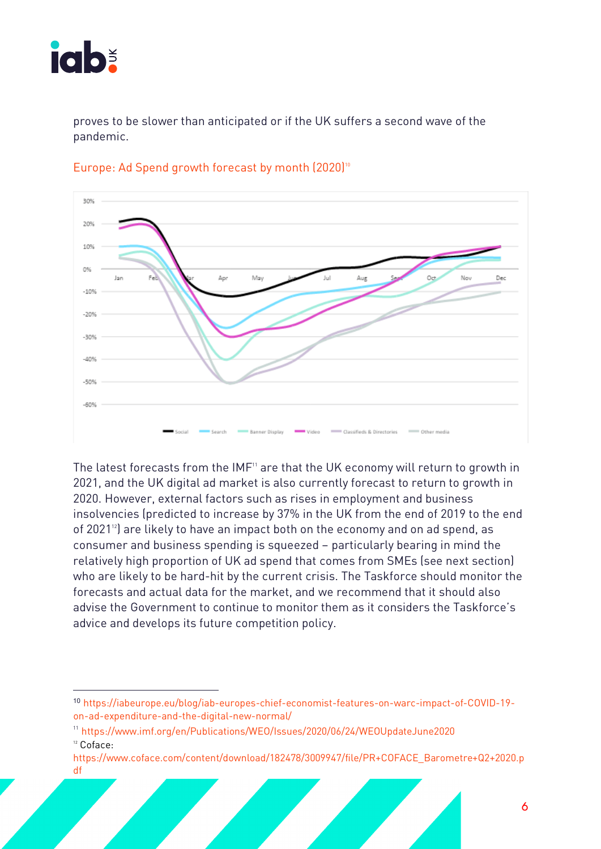

 $\overline{a}$ 

proves to be slower than anticipated or if the UK suffers a second wave of the pandemic.



### Europe: Ad Spend growth forecast by month  $(2020)^{10}$

The latest forecasts from the IMF<sup>11</sup> are that the UK economy will return to growth in 2021, and the UK digital ad market is also currently forecast to return to growth in 2020. However, external factors such as rises in employment and business insolvencies (predicted to increase by 37% in the UK from the end of 2019 to the end of 2021<sup>12</sup>) are likely to have an impact both on the economy and on ad spend, as consumer and business spending is squeezed – particularly bearing in mind the relatively high proportion of UK ad spend that comes from SMEs (see next section) who are likely to be hard-hit by the current crisis. The Taskforce should monitor the forecasts and actual data for the market, and we recommend that it should also advise the Government to continue to monitor them as it considers the Taskforce's advice and develops its future competition policy.

<sup>10</sup> https://iabeurope.eu/blog/iab-europes-chief-economist-features-on-warc-impact-of-COVID-19 on-ad-expenditure-and-the-digital-new-normal/

<sup>11</sup> https://www.imf.org/en/Publications/WEO/Issues/2020/06/24/WEOUpdateJune2020 <sup>12</sup> Coface:

https://www.coface.com/content/download/182478/3009947/file/PR+COFACE\_Barometre+Q2+2020.p df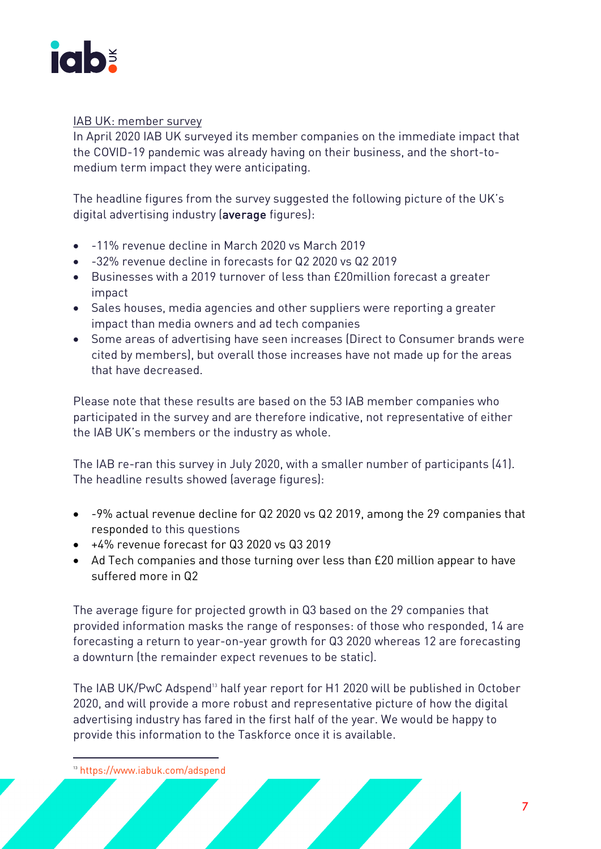

### IAB UK: member survey

In April 2020 IAB UK surveyed its member companies on the immediate impact that the COVID-19 pandemic was already having on their business, and the short-tomedium term impact they were anticipating.

The headline figures from the survey suggested the following picture of the UK's digital advertising industry (average figures):

- -11% revenue decline in March 2020 vs March 2019
- -32% revenue decline in forecasts for Q2 2020 vs Q2 2019
- Businesses with a 2019 turnover of less than £20million forecast a greater impact
- Sales houses, media agencies and other suppliers were reporting a greater impact than media owners and ad tech companies
- Some areas of advertising have seen increases (Direct to Consumer brands were cited by members), but overall those increases have not made up for the areas that have decreased.

Please note that these results are based on the 53 IAB member companies who participated in the survey and are therefore indicative, not representative of either the IAB UK's members or the industry as whole.

The IAB re-ran this survey in July 2020, with a smaller number of participants (41). The headline results showed (average figures):

- -9% actual revenue decline for Q2 2020 vs Q2 2019, among the 29 companies that responded to this questions
- +4% revenue forecast for Q3 2020 vs Q3 2019
- Ad Tech companies and those turning over less than £20 million appear to have suffered more in Q2

The average figure for projected growth in Q3 based on the 29 companies that provided information masks the range of responses: of those who responded, 14 are forecasting a return to year-on-year growth for Q3 2020 whereas 12 are forecasting a downturn (the remainder expect revenues to be static).

The IAB UK/PwC Adspend<sup>13</sup> half year report for H1 2020 will be published in October 2020, and will provide a more robust and representative picture of how the digital advertising industry has fared in the first half of the year. We would be happy to provide this information to the Taskforce once it is available.

 <sup>13</sup> https://www.iabuk.com/adspend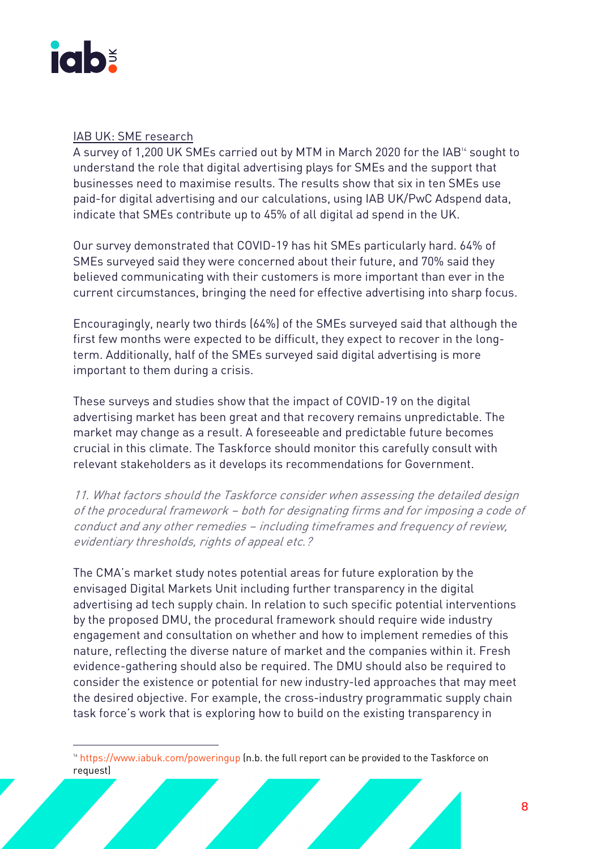

### IAB UK: SME research

A survey of 1,200 UK SMEs carried out by MTM in March 2020 for the IAB<sup>14</sup> sought to understand the role that digital advertising plays for SMEs and the support that businesses need to maximise results. The results show that six in ten SMEs use paid-for digital advertising and our calculations, using IAB UK/PwC Adspend data, indicate that SMEs contribute up to 45% of all digital ad spend in the UK.

Our survey demonstrated that COVID-19 has hit SMEs particularly hard. 64% of SMEs surveyed said they were concerned about their future, and 70% said they believed communicating with their customers is more important than ever in the current circumstances, bringing the need for effective advertising into sharp focus.

Encouragingly, nearly two thirds (64%) of the SMEs surveyed said that although the first few months were expected to be difficult, they expect to recover in the longterm. Additionally, half of the SMEs surveyed said digital advertising is more important to them during a crisis.

These surveys and studies show that the impact of COVID-19 on the digital advertising market has been great and that recovery remains unpredictable. The market may change as a result. A foreseeable and predictable future becomes crucial in this climate. The Taskforce should monitor this carefully consult with relevant stakeholders as it develops its recommendations for Government.

11. What factors should the Taskforce consider when assessing the detailed design of the procedural framework – both for designating firms and for imposing a code of conduct and any other remedies – including timeframes and frequency of review, evidentiary thresholds, rights of appeal etc.?

The CMA's market study notes potential areas for future exploration by the envisaged Digital Markets Unit including further transparency in the digital advertising ad tech supply chain. In relation to such specific potential interventions by the proposed DMU, the procedural framework should require wide industry engagement and consultation on whether and how to implement remedies of this nature, reflecting the diverse nature of market and the companies within it. Fresh evidence-gathering should also be required. The DMU should also be required to consider the existence or potential for new industry-led approaches that may meet the desired objective. For example, the cross-industry programmatic supply chain task force's work that is exploring how to build on the existing transparency in

<sup>&</sup>lt;sup>14</sup> https://www.iabuk.com/poweringup (n.b. the full report can be provided to the Taskforce on request)